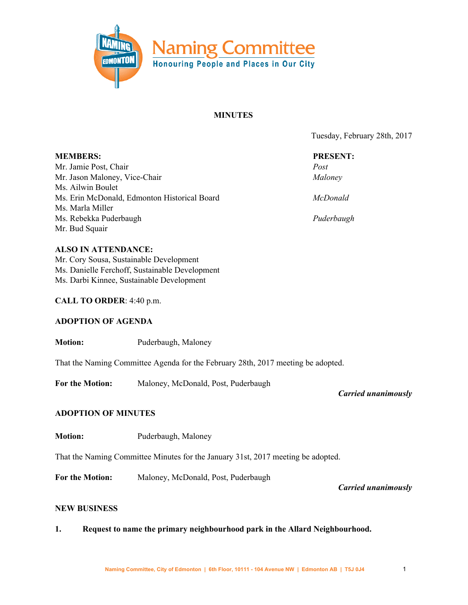

## **MINUTES**

Tuesday, February 28th, 2017

| <b>MEMBERS:</b>                                                                  | <b>PRESENT:</b> |
|----------------------------------------------------------------------------------|-----------------|
| Mr. Jamie Post, Chair                                                            | Post            |
| Mr. Jason Maloney, Vice-Chair                                                    | Maloney         |
| Ms. Ailwin Boulet                                                                |                 |
| Ms. Erin McDonald, Edmonton Historical Board                                     | <i>McDonald</i> |
| Ms. Marla Miller                                                                 |                 |
| Ms. Rebekka Puderbaugh                                                           | Puderbaugh      |
| Mr. Bud Squair                                                                   |                 |
| <b>ALSO IN ATTENDANCE:</b>                                                       |                 |
| Mr. Cory Sousa, Sustainable Development                                          |                 |
| Ms. Danielle Ferchoff, Sustainable Development                                   |                 |
| Ms. Darbi Kinnee, Sustainable Development                                        |                 |
| CALL TO ORDER: 4:40 p.m.                                                         |                 |
| <b>ADOPTION OF AGENDA</b>                                                        |                 |
| <b>Motion:</b><br>Puderbaugh, Maloney                                            |                 |
| That the Naming Committee Agenda for the February 28th, 2017 meeting be adopted. |                 |

**For the Motion:** Maloney, McDonald, Post, Puderbaugh

*Carried unanimously*

### **ADOPTION OF MINUTES**

**Motion:** Puderbaugh, Maloney

That the Naming Committee Minutes for the January 31st, 2017 meeting be adopted.

**For the Motion:** Maloney, McDonald, Post, Puderbaugh

*Carried unanimously*

### **NEW BUSINESS**

**1. Request to name the primary neighbourhood park in the Allard Neighbourhood.**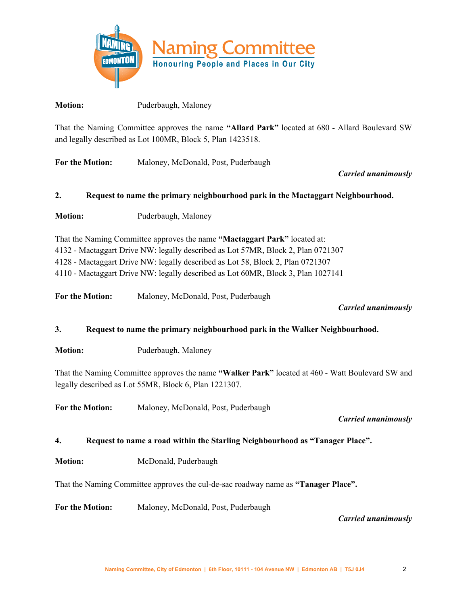

**Motion:** Puderbaugh, Maloney

That the Naming Committee approves the name **"Allard Park"** located at 680 - Allard Boulevard SW and legally described as Lot 100MR, Block 5, Plan 1423518.

**For the Motion:** Maloney, McDonald, Post, Puderbaugh

*Carried unanimously*

# **2. Request to name the primary neighbourhood park in the Mactaggart Neighbourhood.**

**Motion:** Puderbaugh, Maloney

That the Naming Committee approves the name **"Mactaggart Park"** located at: - Mactaggart Drive NW: legally described as Lot 57MR, Block 2, Plan 0721307 - Mactaggart Drive NW: legally described as Lot 58, Block 2, Plan 0721307 - Mactaggart Drive NW: legally described as Lot 60MR, Block 3, Plan 1027141

**For the Motion:** Maloney, McDonald, Post, Puderbaugh

*Carried unanimously*

**3. Request to name the primary neighbourhood park in the Walker Neighbourhood.**

**Motion:** Puderbaugh, Maloney

That the Naming Committee approves the name **"Walker Park"** located at 460 - Watt Boulevard SW and legally described as Lot 55MR, Block 6, Plan 1221307.

**For the Motion:** Maloney, McDonald, Post, Puderbaugh

*Carried unanimously*

**4. Request to name a road within the Starling Neighbourhood as "Tanager Place".**

**Motion:** McDonald, Puderbaugh

That the Naming Committee approves the cul-de-sac roadway name as **"Tanager Place".**

**For the Motion:** Maloney, McDonald, Post, Puderbaugh

*Carried unanimously*